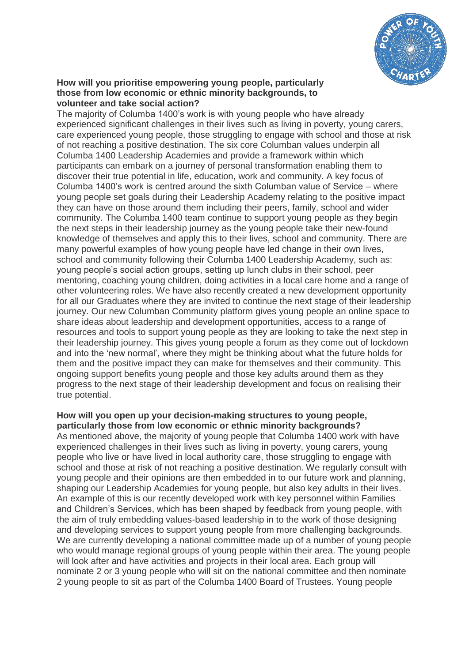

#### **How will you prioritise empowering young people, particularly those from low economic or ethnic minority backgrounds, to volunteer and take social action?**

The majority of Columba 1400's work is with young people who have already experienced significant challenges in their lives such as living in poverty, young carers, care experienced young people, those struggling to engage with school and those at risk of not reaching a positive destination. The six core Columban values underpin all Columba 1400 Leadership Academies and provide a framework within which participants can embark on a journey of personal transformation enabling them to discover their true potential in life, education, work and community. A key focus of Columba 1400's work is centred around the sixth Columban value of Service – where young people set goals during their Leadership Academy relating to the positive impact they can have on those around them including their peers, family, school and wider community. The Columba 1400 team continue to support young people as they begin the next steps in their leadership journey as the young people take their new-found knowledge of themselves and apply this to their lives, school and community. There are many powerful examples of how young people have led change in their own lives, school and community following their Columba 1400 Leadership Academy, such as: young people's social action groups, setting up lunch clubs in their school, peer mentoring, coaching young children, doing activities in a local care home and a range of other volunteering roles. We have also recently created a new development opportunity for all our Graduates where they are invited to continue the next stage of their leadership journey. Our new Columban Community platform gives young people an online space to share ideas about leadership and development opportunities, access to a range of resources and tools to support young people as they are looking to take the next step in their leadership journey. This gives young people a forum as they come out of lockdown and into the 'new normal', where they might be thinking about what the future holds for them and the positive impact they can make for themselves and their community. This ongoing support benefits young people and those key adults around them as they progress to the next stage of their leadership development and focus on realising their true potential.

### **How will you open up your decision-making structures to young people, particularly those from low economic or ethnic minority backgrounds?**

As mentioned above, the majority of young people that Columba 1400 work with have experienced challenges in their lives such as living in poverty, young carers, young people who live or have lived in local authority care, those struggling to engage with school and those at risk of not reaching a positive destination. We regularly consult with young people and their opinions are then embedded in to our future work and planning, shaping our Leadership Academies for young people, but also key adults in their lives. An example of this is our recently developed work with key personnel within Families and Children's Services, which has been shaped by feedback from young people, with the aim of truly embedding values-based leadership in to the work of those designing and developing services to support young people from more challenging backgrounds. We are currently developing a national committee made up of a number of young people who would manage regional groups of young people within their area. The young people will look after and have activities and projects in their local area. Each group will nominate 2 or 3 young people who will sit on the national committee and then nominate 2 young people to sit as part of the Columba 1400 Board of Trustees. Young people